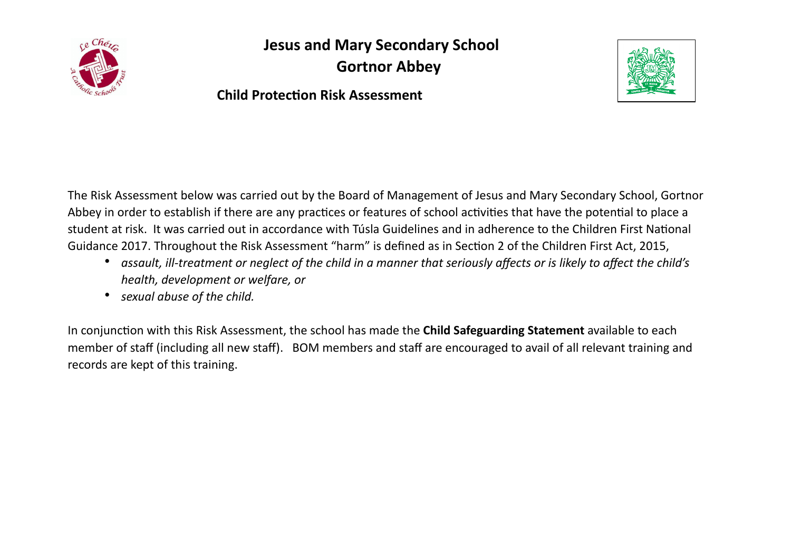

**Jesus and Mary Secondary School Gortnor Abbey** 

**Child Protection Risk Assessment** 

The Risk Assessment below was carried out by the Board of Management of Jesus and Mary Secondary School, Gortnor Abbey in order to establish if there are any practices or features of school activities that have the potential to place a student at risk. It was carried out in accordance with Túsla Guidelines and in adherence to the Children First National Guidance 2017. Throughout the Risk Assessment "harm" is defined as in Section 2 of the Children First Act, 2015,

- *assault, ill-treatment or neglect of the child in a manner that seriously affects or is likely to affect the child's health, development or welfare, or*
- *sexual abuse of the child.*

In conjunction with this Risk Assessment, the school has made the **Child Safeguarding Statement** available to each member of staff (including all new staff). BOM members and staff are encouraged to avail of all relevant training and records are kept of this training.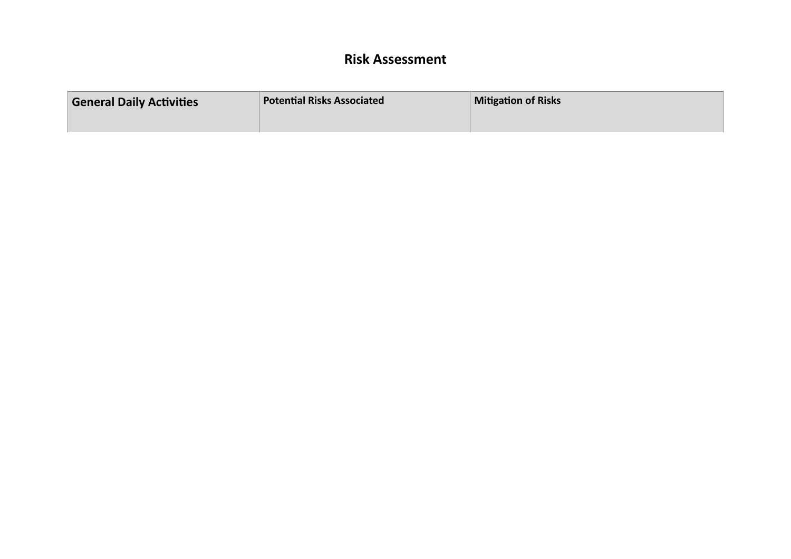## **Risk Assessment**

| <b>General Daily Activities</b> | <b>Potential Risks Associated</b> | <b>Mitigation of Risks</b> |
|---------------------------------|-----------------------------------|----------------------------|
|                                 |                                   |                            |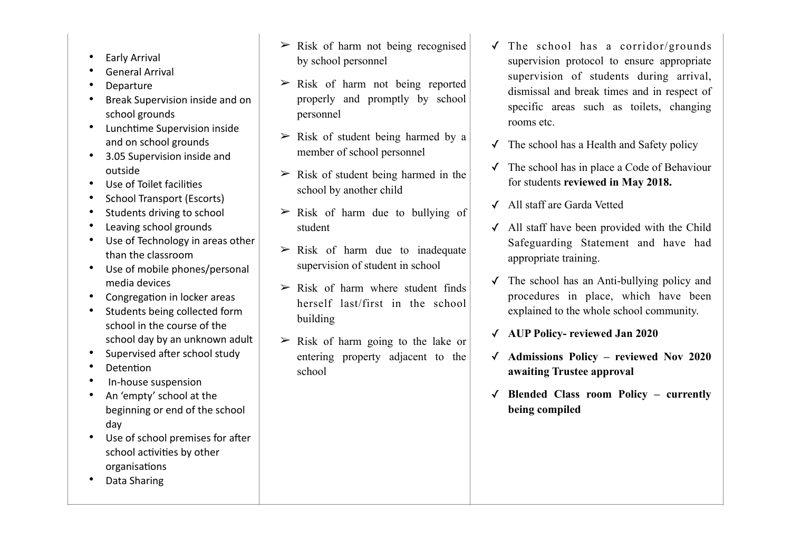- Early Arrival
- General Arrival
- Departure
- Break Supervision inside and on school grounds
- Lunchtime Supervision inside and on school grounds
- 3.05 Supervision inside and outside
- Use of Toilet facilities
- School Transport (Escorts)
- Students driving to school
- Leaving school grounds
- Use of Technology in areas other than the classroom
- Use of mobile phones/personal media devices
- Congregation in locker areas
- Students being collected form school in the course of the school day by an unknown adult
- Supervised after school study
- **Detention**
- In-house suspension
- An 'empty' school at the beginning or end of the school day
- Use of school premises for after school activities by other organisations
- Data Sharing
- $\triangleright$  Risk of harm not being recognised by school personnel
- $\triangleright$  Risk of harm not being reported properly and promptly by school personnel
- $\triangleright$  Risk of student being harmed by a member of school personnel
- $\triangleright$  Risk of student being harmed in the school by another child
- $\triangleright$  Risk of harm due to bullying of student
- $\triangleright$  Risk of harm due to inadequate supervision of student in school
- $\triangleright$  Risk of harm where student finds herself last/first in the school building
- $\triangleright$  Risk of harm going to the lake or entering property adjacent to the school
- $\sqrt{\ }$  The school has a corridor/grounds supervision protocol to ensure appropriate supervision of students during arrival, dismissal and break times and in respect of specific areas such as toilets, changing rooms etc.
- $\checkmark$  The school has a Health and Safety policy
- ✓ The school has in place a Code of Behaviour for students **reviewed in May 2018.**
- ✓ All staff are Garda Vetted
- ✓ All staff have been provided with the Child Safeguarding Statement and have had appropriate training.
- $\checkmark$  The school has an Anti-bullying policy and procedures in place, which have been explained to the whole school community.
- ✓ **AUP Policy- reviewed Jan 2020**
- ✓ **Admissions Policy reviewed Nov 2020 awaiting Trustee approval**
- ✓ **Blended Class room Policy currently being compiled**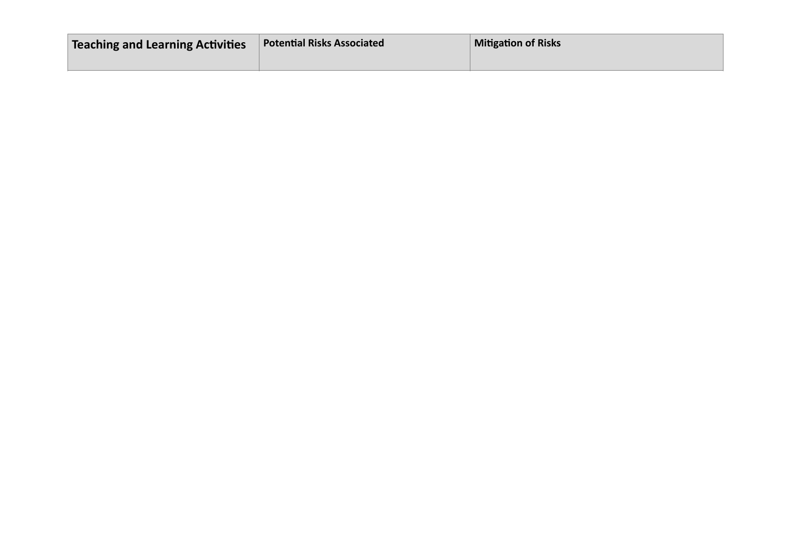| Teaching and Learning Activities | <b>Potential Risks Associated</b> | <b>Mitigation of Risks</b> |
|----------------------------------|-----------------------------------|----------------------------|
|                                  |                                   |                            |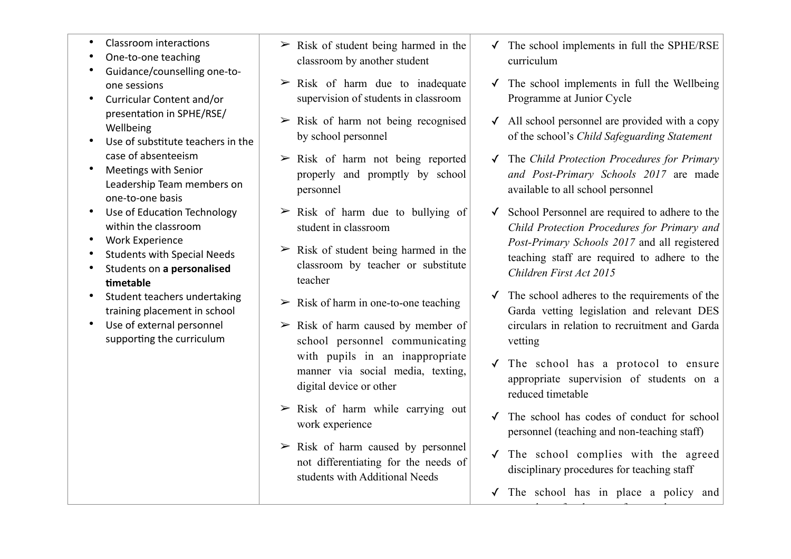- Classroom interactions
- One-to-one teaching
- Guidance/counselling one-toone sessions
- Curricular Content and/or presentation in SPHE/RSE/ Wellbeing
- Use of substitute teachers in the case of absenteeism
- Meetings with Senior Leadership Team members on one-to-one basis
- Use of Education Technology within the classroom
- Work Experience
- Students with Special Needs
- Students on **a personalised ;metable**
- Student teachers undertaking training placement in school
- Use of external personnel supporting the curriculum
- $\triangleright$  Risk of student being harmed in the classroom by another student
- $\triangleright$  Risk of harm due to inadequate supervision of students in classroom
- $\geq$  Risk of harm not being recognised by school personnel
- $\triangleright$  Risk of harm not being reported properly and promptly by school personnel
- $\triangleright$  Risk of harm due to bullying of student in classroom
- $\triangleright$  Risk of student being harmed in the classroom by teacher or substitute teacher
- $\triangleright$  Risk of harm in one-to-one teaching
- $\triangleright$  Risk of harm caused by member of school personnel communicating with pupils in an inappropriate manner via social media, texting, digital device or other
- $\triangleright$  Risk of harm while carrying out work experience
- $\triangleright$  Risk of harm caused by personnel not differentiating for the needs of students with Additional Needs
- ✓ The school implements in full the SPHE/RSE curriculum
- $\checkmark$  The school implements in full the Wellbeing Programme at Junior Cycle
- $\checkmark$  All school personnel are provided with a copy of the school's *Child Safeguarding Statement*
- ✓ The *Child Protection Procedures for Primary and Post-Primary Schools 2017* are made available to all school personnel
- School Personnel are required to adhere to the *Child Protection Procedures for Primary and Post-Primary Schools 2017* and all registered teaching staff are required to adhere to the *Children First Act 2015*
- ✓ The school adheres to the requirements of the Garda vetting legislation and relevant DES circulars in relation to recruitment and Garda vetting
- ✓ The school has a protocol to ensure appropriate supervision of students on a reduced timetable
- ✓ The school has codes of conduct for school personnel (teaching and non-teaching staff)
- ✓ The school complies with the agreed disciplinary procedures for teaching staff
- ✓ The school has in place a policy and

procedures for the use of external persons to external persons to external persons to external persons to external persons to external persons to external persons to external persons to external persons to external persons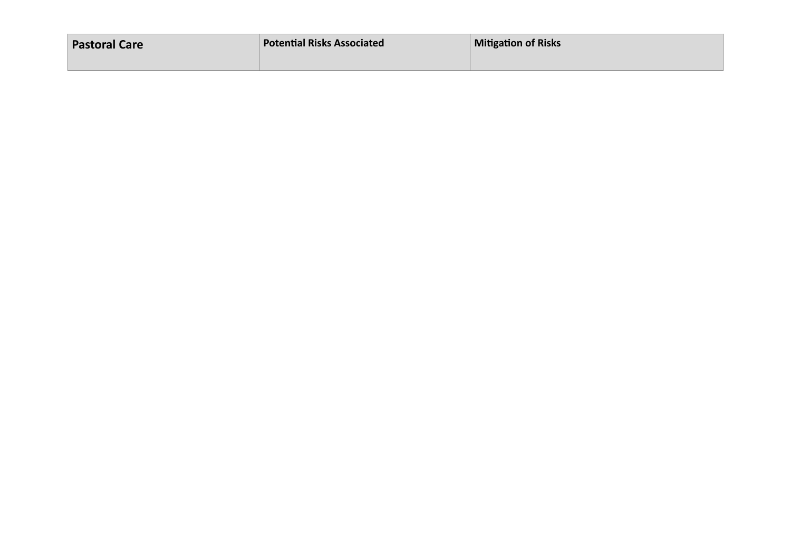| <b>Pastoral Care</b> | <b>Potential Risks Associated</b> | <b>Mitigation of Risks</b> |
|----------------------|-----------------------------------|----------------------------|
|                      |                                   |                            |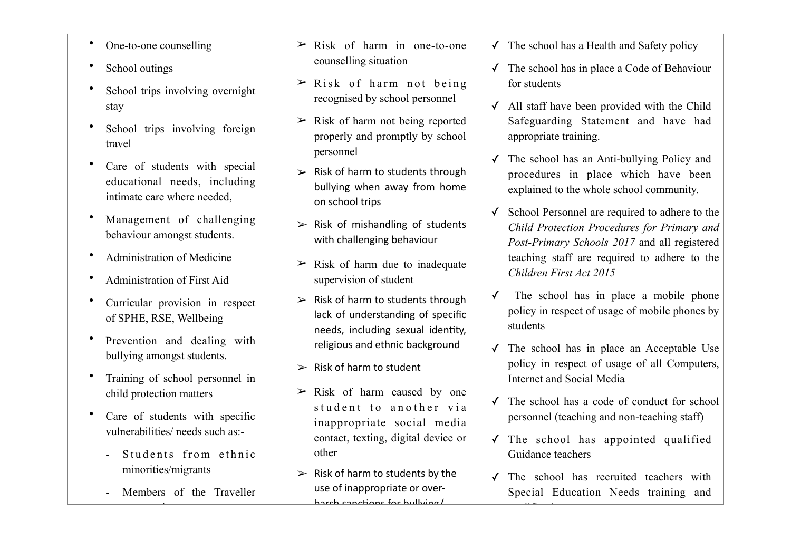- One-to-one counselling
- School outings
- School trips involving overnight stay
- School trips involving foreign travel
- Care of students with special educational needs, including intimate care where needed,
- Management of challenging behaviour amongst students.
- Administration of Medicine
- Administration of First Aid
- Curricular provision in respect of SPHE, RSE, Wellbeing
- Prevention and dealing with bullying amongst students.
- Training of school personnel in child protection matters
- Care of students with specific vulnerabilities/ needs such as:-
	- Students from ethnic minorities/migrants
	- Members of the Traveller

community of the community

- $\geq$  Risk of harm in one-to-one counselling situation
- $\triangleright$  Risk of harm not being recognised by school personnel
- $\geq$  Risk of harm not being reported properly and promptly by school personnel
- $\triangleright$  Risk of harm to students through bullying when away from home on school trips
- $\triangleright$  Risk of mishandling of students with challenging behaviour
- $\triangleright$  Risk of harm due to inadequate supervision of student
- $\triangleright$  Risk of harm to students through lack of understanding of specific needs, including sexual identity, religious and ethnic background
- $\triangleright$  Risk of harm to student
- $\geq$  Risk of harm caused by one student to another via inappropriate social media contact, texting, digital device or other
- $\triangleright$  Risk of harm to students by the use of inappropriate or overharch canctions for bullying/
- $\checkmark$  The school has a Health and Safety policy
- ✓ The school has in place a Code of Behaviour for students
- ✓ All staff have been provided with the Child Safeguarding Statement and have had appropriate training.
- ✓ The school has an Anti-bullying Policy and procedures in place which have been explained to the whole school community.
- ✓ School Personnel are required to adhere to the *Child Protection Procedures for Primary and Post-Primary Schools 2017* and all registered teaching staff are required to adhere to the *Children First Act 2015*
- ✓ The school has in place a mobile phone policy in respect of usage of mobile phones by students
- ✓ The school has in place an Acceptable Use policy in respect of usage of all Computers, Internet and Social Media
- ✓ The school has a code of conduct for school personnel (teaching and non-teaching staff)
- ✓ The school has appointed qualified Guidance teachers
- ✓ The school has recruited teachers with Special Education Needs training and

 $\overline{\phantom{a}}$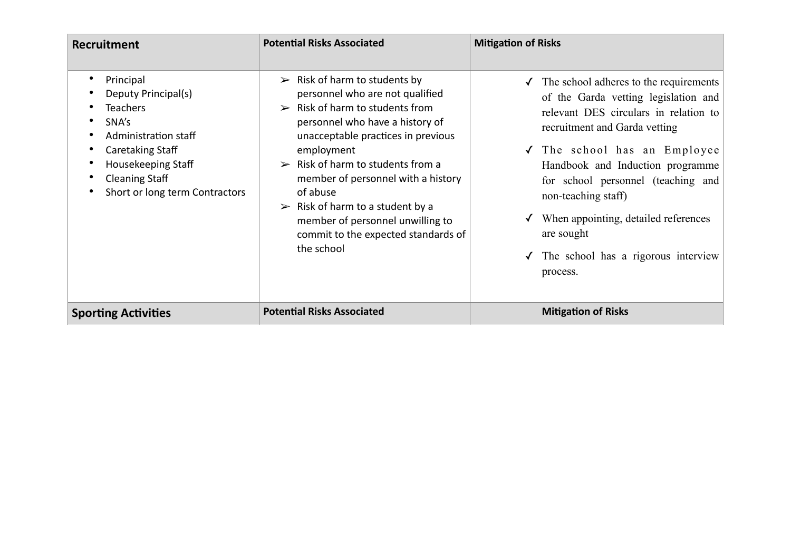| Recruitment                                                                                                                                                                                            | <b>Potential Risks Associated</b>                                                                                                                                                                                                                                                                                                                                                                                                                                          | <b>Mitigation of Risks</b>                                                                                                                                                                                                                                                                                                                                                                              |
|--------------------------------------------------------------------------------------------------------------------------------------------------------------------------------------------------------|----------------------------------------------------------------------------------------------------------------------------------------------------------------------------------------------------------------------------------------------------------------------------------------------------------------------------------------------------------------------------------------------------------------------------------------------------------------------------|---------------------------------------------------------------------------------------------------------------------------------------------------------------------------------------------------------------------------------------------------------------------------------------------------------------------------------------------------------------------------------------------------------|
| Principal<br>$\bullet$<br>Deputy Principal(s)<br><b>Teachers</b><br>SNA's<br>Administration staff<br>Caretaking Staff<br>Housekeeping Staff<br><b>Cleaning Staff</b><br>Short or long term Contractors | $\triangleright$ Risk of harm to students by<br>personnel who are not qualified<br>$\triangleright$ Risk of harm to students from<br>personnel who have a history of<br>unacceptable practices in previous<br>employment<br>$\triangleright$ Risk of harm to students from a<br>member of personnel with a history<br>of abuse<br>$\triangleright$ Risk of harm to a student by a<br>member of personnel unwilling to<br>commit to the expected standards of<br>the school | The school adheres to the requirements<br>✓<br>of the Garda vetting legislation and<br>relevant DES circulars in relation to<br>recruitment and Garda vetting<br>√ The school has an Employee<br>Handbook and Induction programme<br>for school personnel (teaching and<br>non-teaching staff)<br>When appointing, detailed references<br>are sought<br>The school has a rigorous interview<br>process. |
| <b>Sporting Activities</b>                                                                                                                                                                             | <b>Potential Risks Associated</b>                                                                                                                                                                                                                                                                                                                                                                                                                                          | <b>Mitigation of Risks</b>                                                                                                                                                                                                                                                                                                                                                                              |